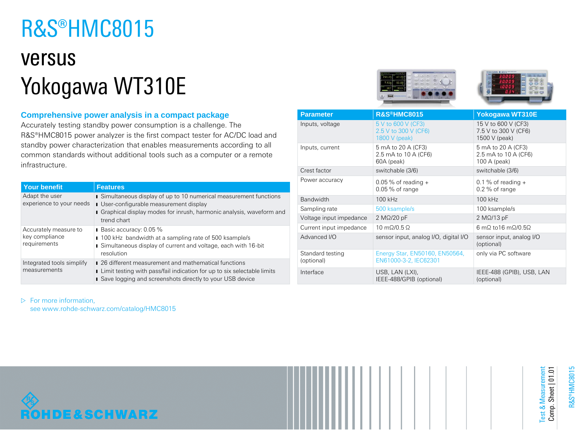# R&S®HMC8015

## versus Yokogawa WT310E

## **Comprehensive power analysis in a compact package**

Accurately testing standby power consumption is a challenge. The R&S®HMC8015 power analyzer is the first compact tester for AC/DC load and standby power characterization that enables measurements according to all common standards without additional tools such as a computer or a remote infrastructure.

| <b>Your benefit</b>                                     | <b>Features</b>                                                                                                                                                                                          |
|---------------------------------------------------------|----------------------------------------------------------------------------------------------------------------------------------------------------------------------------------------------------------|
| Adapt the user<br>experience to your needs              | Simultaneous display of up to 10 numerical measurement functions<br><b>I</b> User-configurable measurement display<br>Graphical display modes for inrush, harmonic analysis, waveform and<br>trend chart |
| Accurately measure to<br>key compliance<br>requirements | Basic accuracy: 0.05 %<br>100 kHz bandwidth at a sampling rate of 500 ksample/s<br>Simultaneous display of current and voltage, each with 16-bit<br>resolution                                           |
| Integrated tools simplify<br>measurements               | ■ 26 different measurement and mathematical functions<br>I Limit testing with pass/fail indication for up to six selectable limits<br>Save logging and screenshots directly to your USB device           |





| <b>Parameter</b>               | R&S®HMC8015                                                                            | <b>Yokogawa WT310E</b>                                       |  |
|--------------------------------|----------------------------------------------------------------------------------------|--------------------------------------------------------------|--|
| Inputs, voltage                | 5 V to 600 V (CF3)<br>2.5 V to 300 V (CF6)<br>1800 V (peak)                            | 15 V to 600 V (CF3)<br>7.5 V to 300 V (CF6)<br>1500 V (peak) |  |
| Inputs, current                | 5 mA to 20 A (CF3)<br>2.5 mA to 10 A (CF6)<br>60A (peak)                               | 5 mA to 20 A (CF3)<br>2.5 mA to 10 A (CF6)<br>100 A (peak)   |  |
| Crest factor                   | switchable (3/6)                                                                       | switchable (3/6)                                             |  |
| Power accuracy                 | $0.05\%$ of reading +<br>0.1 % of reading $+$<br>$0.05\%$ of range<br>$0.2\%$ of range |                                                              |  |
| Bandwidth                      | 100 kHz                                                                                | 100 kHz                                                      |  |
| Sampling rate                  | 500 ksample/s                                                                          | 100 ksample/s                                                |  |
| Voltage input impedance        | $2 M\Omega/20 pF$                                                                      | $2 M\Omega/13 pF$                                            |  |
| Current input impedance        | $10 \text{ m}\Omega/0.5 \Omega$<br>6 mΩ to 16 mΩ/0.5Ω                                  |                                                              |  |
| Advanced I/O                   | sensor input, analog I/O, digital I/O<br>sensor input, analog I/O<br>(optional)        |                                                              |  |
| Standard testing<br>(optional) | Energy Star, EN50160, EN50564,<br>EN61000-3-2, IEC62301                                | only via PC software                                         |  |
| Interface                      | USB, LAN (LXI),<br>IEEE-488/GPIB (optional)                                            | IEEE-488 (GPIB), USB, LAN<br>(optional)                      |  |

 $\triangleright$  For more information,

see www.rohde-schwarz.com/catalog/HMC8015



Test & Measurement Comp. Sheet | 01.01

Test & Measurement<br>Comp. Sheet | 01.01